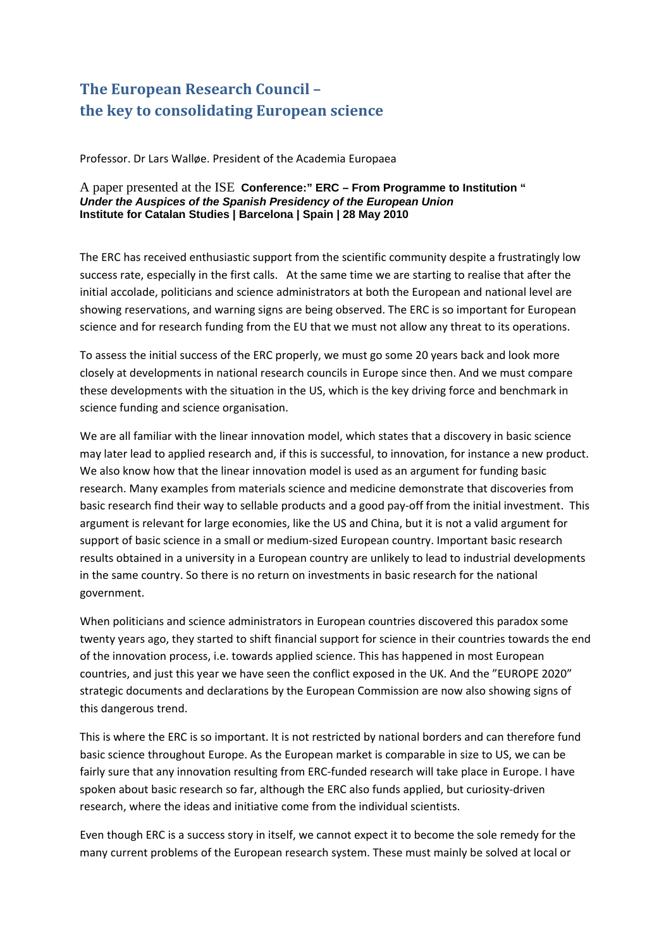## **The European Research Council – the key to consolidating European science**

Professor. Dr Lars Walløe. President of the Academia Europaea

## A paper presented at the ISE **Conference:" ERC – From Programme to Institution "** *Under the Auspices of the Spanish Presidency of the European Union*  **Institute for Catalan Studies | Barcelona | Spain | 28 May 2010**

The ERC has received enthusiastic support from the scientific community despite a frustratingly low success rate, especially in the first calls. At the same time we are starting to realise that after the initial accolade, politicians and science administrators at both the European and national level are showing reservations, and warning signs are being observed. The ERC is so important for European science and for research funding from the EU that we must not allow any threat to its operations.

To assess the initial success of the ERC properly, we must go some 20 years back and look more closely at developments in national research councils in Europe since then. And we must compare these developments with the situation in the US, which is the key driving force and benchmark in science funding and science organisation.

We are all familiar with the linear innovation model, which states that a discovery in basic science may later lead to applied research and, if this is successful, to innovation, for instance a new product. We also know how that the linear innovation model is used as an argument for funding basic research. Many examples from materials science and medicine demonstrate that discoveries from basic research find their way to sellable products and a good pay-off from the initial investment. This argument is relevant for large economies, like the US and China, but it is not a valid argument for support of basic science in a small or medium‐sized European country. Important basic research results obtained in a university in a European country are unlikely to lead to industrial developments in the same country. So there is no return on investments in basic research for the national government.

When politicians and science administrators in European countries discovered this paradox some twenty years ago, they started to shift financial support for science in their countries towards the end of the innovation process, i.e. towards applied science. This has happened in most European countries, and just this year we have seen the conflict exposed in the UK. And the "EUROPE 2020" strategic documents and declarations by the European Commission are now also showing signs of this dangerous trend.

This is where the ERC is so important. It is not restricted by national borders and can therefore fund basic science throughout Europe. As the European market is comparable in size to US, we can be fairly sure that any innovation resulting from ERC-funded research will take place in Europe. I have spoken about basic research so far, although the ERC also funds applied, but curiosity-driven research, where the ideas and initiative come from the individual scientists.

Even though ERC is a success story in itself, we cannot expect it to become the sole remedy for the many current problems of the European research system. These must mainly be solved at local or